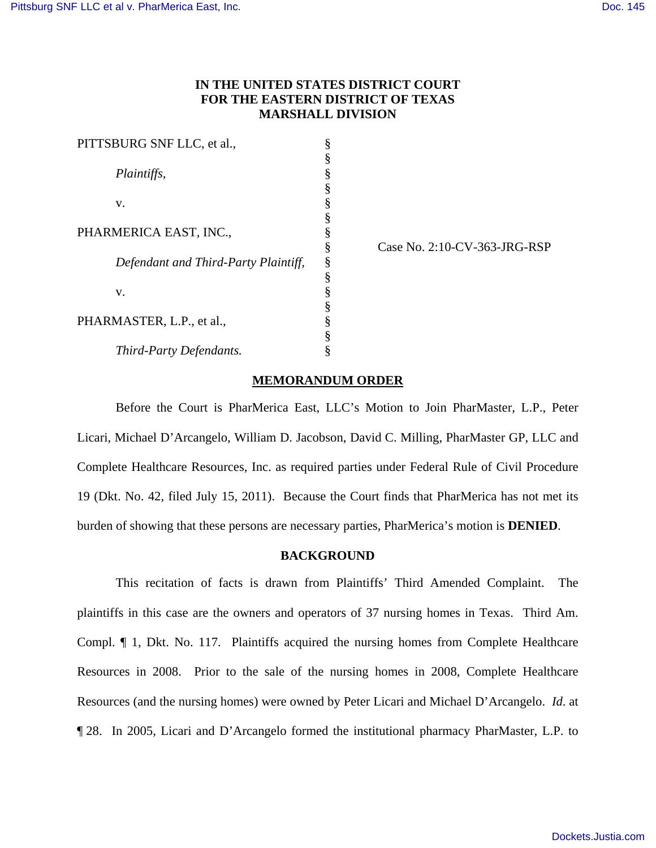# **IN THE UNITED STATES DISTRICT COURT FOR THE EASTERN DISTRICT OF TEXAS MARSHALL DIVISION**

| PITTSBURG SNF LLC, et al.,           | § |
|--------------------------------------|---|
|                                      | § |
| <i>Plaintiffs,</i>                   | § |
|                                      | § |
| v.                                   | § |
|                                      | § |
| PHARMERICA EAST, INC.,               | § |
|                                      | § |
| Defendant and Third-Party Plaintiff, | § |
|                                      | § |
| V.                                   | § |
|                                      | § |
| PHARMASTER, L.P., et al.,            | § |
|                                      |   |
| Third-Party Defendants.              | § |

Case No. 2:10-CV-363-JRG-RSP

## **MEMORANDUM ORDER**

Before the Court is PharMerica East, LLC's Motion to Join PharMaster, L.P., Peter Licari, Michael D'Arcangelo, William D. Jacobson, David C. Milling, PharMaster GP, LLC and Complete Healthcare Resources, Inc. as required parties under Federal Rule of Civil Procedure 19 (Dkt. No. 42, filed July 15, 2011). Because the Court finds that PharMerica has not met its burden of showing that these persons are necessary parties, PharMerica's motion is **DENIED**.

#### **BACKGROUND**

This recitation of facts is drawn from Plaintiffs' Third Amended Complaint. The plaintiffs in this case are the owners and operators of 37 nursing homes in Texas. Third Am. Compl. ¶ 1, Dkt. No. 117. Plaintiffs acquired the nursing homes from Complete Healthcare Resources in 2008. Prior to the sale of the nursing homes in 2008, Complete Healthcare Resources (and the nursing homes) were owned by Peter Licari and Michael D'Arcangelo. *Id*. at ¶ 28. In 2005, Licari and D'Arcangelo formed the institutional pharmacy PharMaster, L.P. to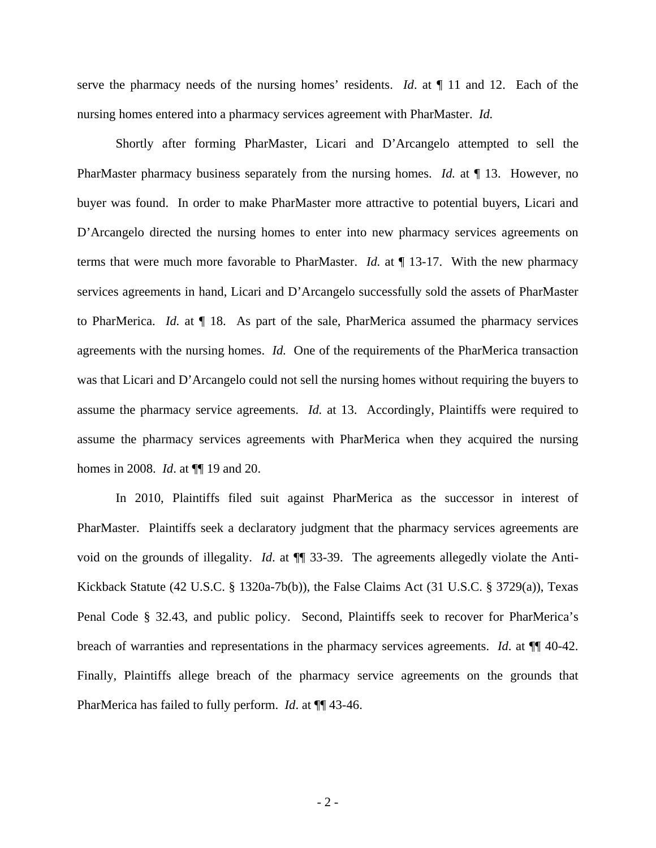serve the pharmacy needs of the nursing homes' residents. *Id*. at ¶ 11 and 12. Each of the nursing homes entered into a pharmacy services agreement with PharMaster. *Id.*

Shortly after forming PharMaster, Licari and D'Arcangelo attempted to sell the PharMaster pharmacy business separately from the nursing homes. *Id.* at 13. However, no buyer was found. In order to make PharMaster more attractive to potential buyers, Licari and D'Arcangelo directed the nursing homes to enter into new pharmacy services agreements on terms that were much more favorable to PharMaster. *Id.* at ¶ 13-17. With the new pharmacy services agreements in hand, Licari and D'Arcangelo successfully sold the assets of PharMaster to PharMerica. *Id.* at ¶ 18. As part of the sale, PharMerica assumed the pharmacy services agreements with the nursing homes. *Id.* One of the requirements of the PharMerica transaction was that Licari and D'Arcangelo could not sell the nursing homes without requiring the buyers to assume the pharmacy service agreements. *Id.* at 13. Accordingly, Plaintiffs were required to assume the pharmacy services agreements with PharMerica when they acquired the nursing homes in 2008. *Id*. at ¶¶ 19 and 20.

In 2010, Plaintiffs filed suit against PharMerica as the successor in interest of PharMaster. Plaintiffs seek a declaratory judgment that the pharmacy services agreements are void on the grounds of illegality. *Id*. at ¶¶ 33-39. The agreements allegedly violate the Anti-Kickback Statute (42 U.S.C. § 1320a-7b(b)), the False Claims Act (31 U.S.C. § 3729(a)), Texas Penal Code § 32.43, and public policy. Second, Plaintiffs seek to recover for PharMerica's breach of warranties and representations in the pharmacy services agreements. *Id*. at ¶¶ 40-42. Finally, Plaintiffs allege breach of the pharmacy service agreements on the grounds that PharMerica has failed to fully perform. *Id*. at ¶¶ 43-46.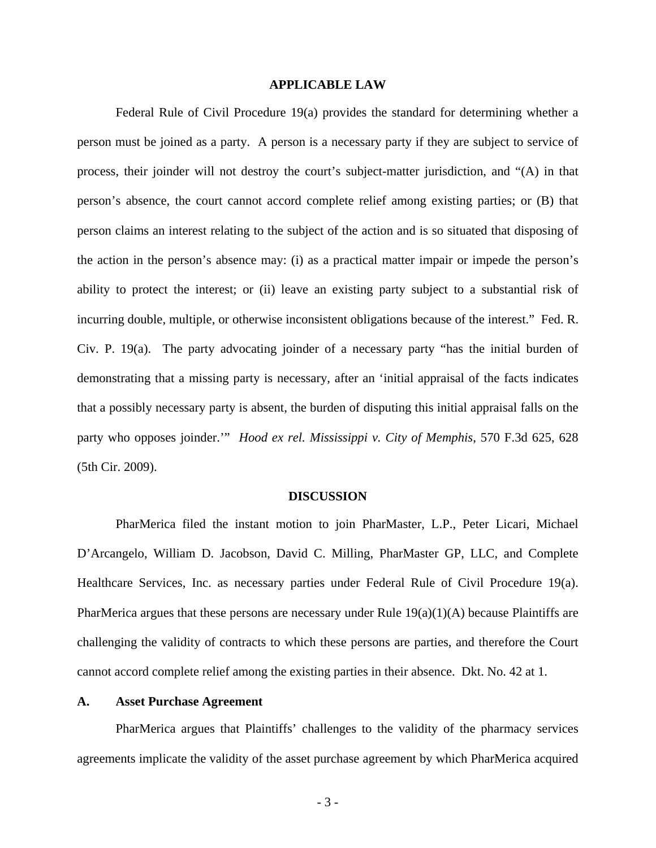#### **APPLICABLE LAW**

Federal Rule of Civil Procedure 19(a) provides the standard for determining whether a person must be joined as a party. A person is a necessary party if they are subject to service of process, their joinder will not destroy the court's subject-matter jurisdiction, and "(A) in that person's absence, the court cannot accord complete relief among existing parties; or (B) that person claims an interest relating to the subject of the action and is so situated that disposing of the action in the person's absence may: (i) as a practical matter impair or impede the person's ability to protect the interest; or (ii) leave an existing party subject to a substantial risk of incurring double, multiple, or otherwise inconsistent obligations because of the interest." Fed. R. Civ. P. 19(a). The party advocating joinder of a necessary party "has the initial burden of demonstrating that a missing party is necessary, after an 'initial appraisal of the facts indicates that a possibly necessary party is absent, the burden of disputing this initial appraisal falls on the party who opposes joinder.'" *Hood ex rel. Mississippi v. City of Memphis*, 570 F.3d 625, 628 (5th Cir. 2009).

### **DISCUSSION**

PharMerica filed the instant motion to join PharMaster, L.P., Peter Licari, Michael D'Arcangelo, William D. Jacobson, David C. Milling, PharMaster GP, LLC, and Complete Healthcare Services, Inc. as necessary parties under Federal Rule of Civil Procedure 19(a). PharMerica argues that these persons are necessary under Rule 19(a)(1)(A) because Plaintiffs are challenging the validity of contracts to which these persons are parties, and therefore the Court cannot accord complete relief among the existing parties in their absence. Dkt. No. 42 at 1.

### **A. Asset Purchase Agreement**

PharMerica argues that Plaintiffs' challenges to the validity of the pharmacy services agreements implicate the validity of the asset purchase agreement by which PharMerica acquired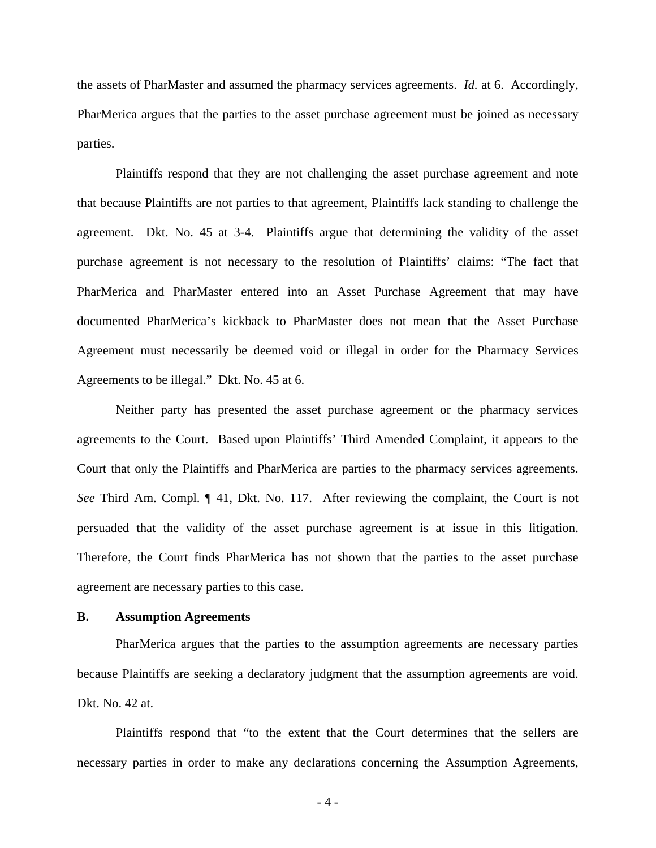the assets of PharMaster and assumed the pharmacy services agreements. *Id.* at 6. Accordingly, PharMerica argues that the parties to the asset purchase agreement must be joined as necessary parties.

Plaintiffs respond that they are not challenging the asset purchase agreement and note that because Plaintiffs are not parties to that agreement, Plaintiffs lack standing to challenge the agreement. Dkt. No. 45 at 3-4. Plaintiffs argue that determining the validity of the asset purchase agreement is not necessary to the resolution of Plaintiffs' claims: "The fact that PharMerica and PharMaster entered into an Asset Purchase Agreement that may have documented PharMerica's kickback to PharMaster does not mean that the Asset Purchase Agreement must necessarily be deemed void or illegal in order for the Pharmacy Services Agreements to be illegal." Dkt. No. 45 at 6.

Neither party has presented the asset purchase agreement or the pharmacy services agreements to the Court. Based upon Plaintiffs' Third Amended Complaint, it appears to the Court that only the Plaintiffs and PharMerica are parties to the pharmacy services agreements. *See* Third Am. Compl. ¶ 41, Dkt. No. 117. After reviewing the complaint, the Court is not persuaded that the validity of the asset purchase agreement is at issue in this litigation. Therefore, the Court finds PharMerica has not shown that the parties to the asset purchase agreement are necessary parties to this case.

### **B. Assumption Agreements**

PharMerica argues that the parties to the assumption agreements are necessary parties because Plaintiffs are seeking a declaratory judgment that the assumption agreements are void. Dkt. No. 42 at.

Plaintiffs respond that "to the extent that the Court determines that the sellers are necessary parties in order to make any declarations concerning the Assumption Agreements,

- 4 -